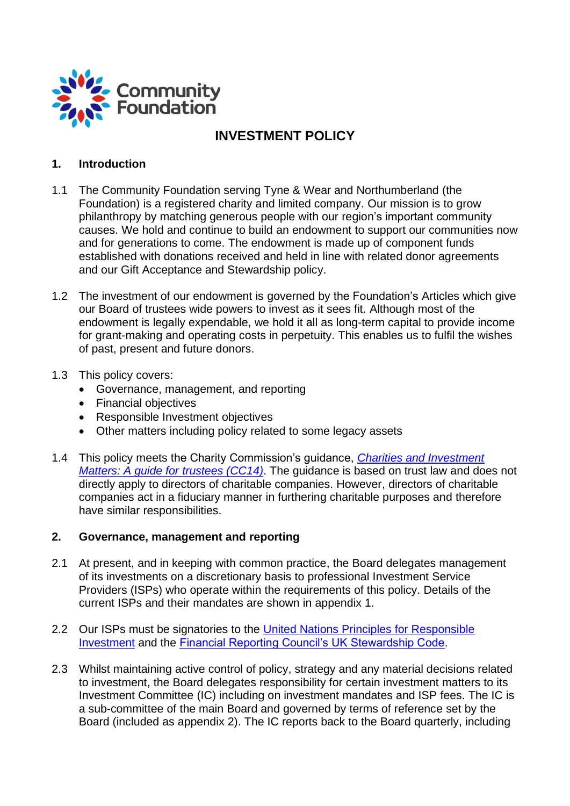

# **INVESTMENT POLICY**

### **1. Introduction**

- 1.1 The Community Foundation serving Tyne & Wear and Northumberland (the Foundation) is a registered charity and limited company. Our mission is to grow philanthropy by matching generous people with our region's important community causes. We hold and continue to build an endowment to support our communities now and for generations to come. The endowment is made up of component funds established with donations received and held in line with related donor agreements and our Gift Acceptance and Stewardship policy.
- 1.2 The investment of our endowment is governed by the Foundation's Articles which give our Board of trustees wide powers to invest as it sees fit. Although most of the endowment is legally expendable, we hold it all as long-term capital to provide income for grant-making and operating costs in perpetuity. This enables us to fulfil the wishes of past, present and future donors.
- 1.3 This policy covers:
	- Governance, management, and reporting
	- Financial objectives
	- Responsible Investment objectives
	- Other matters including policy related to some legacy assets
- 1.4 This policy meets the Charity Commission's guidance, *[Charities and Investment](https://www.gov.uk/government/publications/charities-and-investment-matters-a-guide-for-trustees-cc14/charities-and-investment-matters-a-guide-for-trustees)  [Matters: A guide for trustees \(CC14\)](https://www.gov.uk/government/publications/charities-and-investment-matters-a-guide-for-trustees-cc14/charities-and-investment-matters-a-guide-for-trustees)*. The guidance is based on trust law and does not directly apply to directors of charitable companies. However, directors of charitable companies act in a fiduciary manner in furthering charitable purposes and therefore have similar responsibilities.

#### **2. Governance, management and reporting**

- 2.1 At present, and in keeping with common practice, the Board delegates management of its investments on a discretionary basis to professional Investment Service Providers (ISPs) who operate within the requirements of this policy. Details of the current ISPs and their mandates are shown in appendix 1.
- 2.2 Our ISPs must be signatories to the United Nations Principles for Responsible [Investment](https://www.unpri.org/) and the **Financial Reporting Council's UK Stewardship Code**.
- 2.3 Whilst maintaining active control of policy, strategy and any material decisions related to investment, the Board delegates responsibility for certain investment matters to its Investment Committee (IC) including on investment mandates and ISP fees. The IC is a sub-committee of the main Board and governed by terms of reference set by the Board (included as appendix 2). The IC reports back to the Board quarterly, including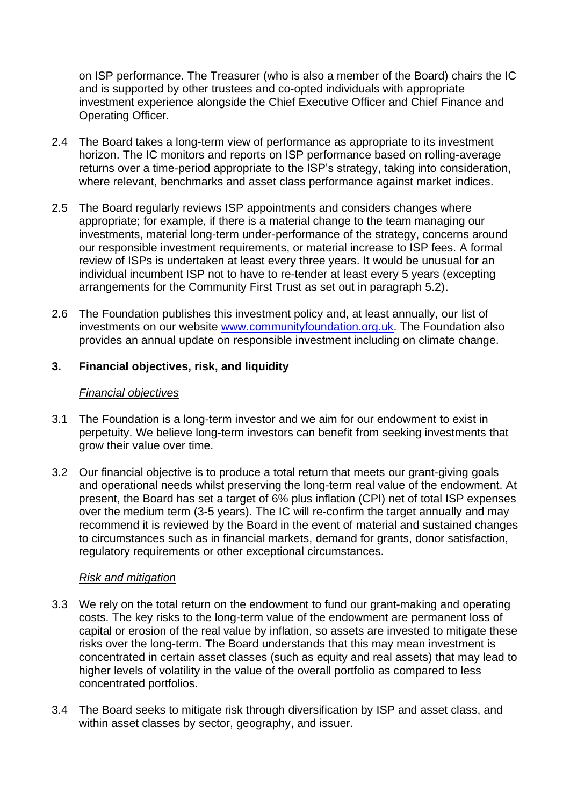on ISP performance. The Treasurer (who is also a member of the Board) chairs the IC and is supported by other trustees and co-opted individuals with appropriate investment experience alongside the Chief Executive Officer and Chief Finance and Operating Officer.

- 2.4 The Board takes a long-term view of performance as appropriate to its investment horizon. The IC monitors and reports on ISP performance based on rolling-average returns over a time-period appropriate to the ISP's strategy, taking into consideration, where relevant, benchmarks and asset class performance against market indices.
- 2.5 The Board regularly reviews ISP appointments and considers changes where appropriate; for example, if there is a material change to the team managing our investments, material long-term under-performance of the strategy, concerns around our responsible investment requirements, or material increase to ISP fees. A formal review of ISPs is undertaken at least every three years. It would be unusual for an individual incumbent ISP not to have to re-tender at least every 5 years (excepting arrangements for the Community First Trust as set out in paragraph 5.2).
- 2.6 The Foundation publishes this investment policy and, at least annually, our list of investments on our website [www.communityfoundation.org.uk.](http://www.communityfoundation.org.uk/) The Foundation also provides an annual update on responsible investment including on climate change.

### **3. Financial objectives, risk, and liquidity**

#### *Financial objectives*

- 3.1 The Foundation is a long-term investor and we aim for our endowment to exist in perpetuity. We believe long-term investors can benefit from seeking investments that grow their value over time.
- 3.2 Our financial objective is to produce a total return that meets our grant-giving goals and operational needs whilst preserving the long-term real value of the endowment. At present, the Board has set a target of 6% plus inflation (CPI) net of total ISP expenses over the medium term (3-5 years). The IC will re-confirm the target annually and may recommend it is reviewed by the Board in the event of material and sustained changes to circumstances such as in financial markets, demand for grants, donor satisfaction, regulatory requirements or other exceptional circumstances.

#### *Risk and mitigation*

- 3.3 We rely on the total return on the endowment to fund our grant-making and operating costs. The key risks to the long-term value of the endowment are permanent loss of capital or erosion of the real value by inflation, so assets are invested to mitigate these risks over the long-term. The Board understands that this may mean investment is concentrated in certain asset classes (such as equity and real assets) that may lead to higher levels of volatility in the value of the overall portfolio as compared to less concentrated portfolios.
- 3.4 The Board seeks to mitigate risk through diversification by ISP and asset class, and within asset classes by sector, geography, and issuer.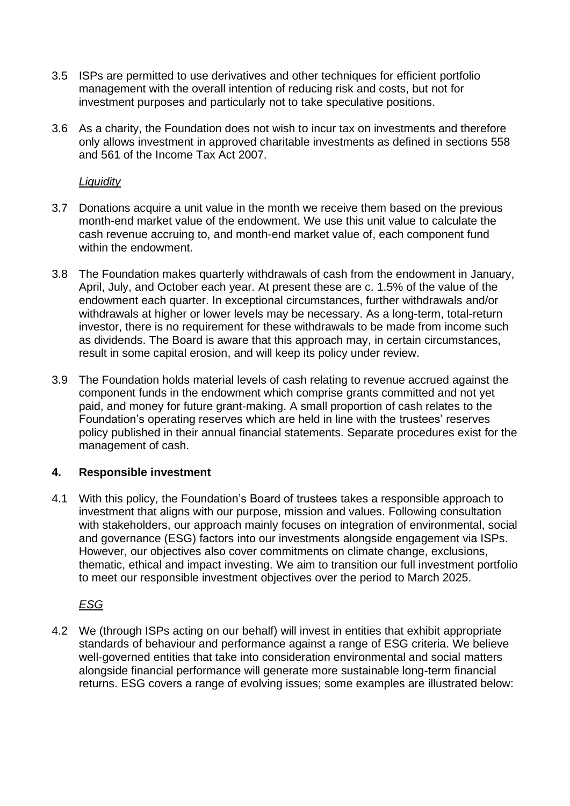- 3.5 ISPs are permitted to use derivatives and other techniques for efficient portfolio management with the overall intention of reducing risk and costs, but not for investment purposes and particularly not to take speculative positions.
- 3.6 As a charity, the Foundation does not wish to incur tax on investments and therefore only allows investment in approved charitable investments as defined in sections 558 and 561 of the Income Tax Act 2007.

#### *Liquidity*

- 3.7 Donations acquire a unit value in the month we receive them based on the previous month-end market value of the endowment. We use this unit value to calculate the cash revenue accruing to, and month-end market value of, each component fund within the endowment.
- 3.8 The Foundation makes quarterly withdrawals of cash from the endowment in January, April, July, and October each year. At present these are c. 1.5% of the value of the endowment each quarter. In exceptional circumstances, further withdrawals and/or withdrawals at higher or lower levels may be necessary. As a long-term, total-return investor, there is no requirement for these withdrawals to be made from income such as dividends. The Board is aware that this approach may, in certain circumstances, result in some capital erosion, and will keep its policy under review.
- 3.9 The Foundation holds material levels of cash relating to revenue accrued against the component funds in the endowment which comprise grants committed and not yet paid, and money for future grant-making. A small proportion of cash relates to the Foundation's operating reserves which are held in line with the trustees' reserves policy published in their annual financial statements. Separate procedures exist for the management of cash.

## **4. Responsible investment**

4.1 With this policy, the Foundation's Board of trustees takes a responsible approach to investment that aligns with our purpose, mission and values. Following consultation with stakeholders, our approach mainly focuses on integration of environmental, social and governance (ESG) factors into our investments alongside engagement via ISPs. However, our objectives also cover commitments on climate change, exclusions, thematic, ethical and impact investing. We aim to transition our full investment portfolio to meet our responsible investment objectives over the period to March 2025.

## *ESG*

4.2 We (through ISPs acting on our behalf) will invest in entities that exhibit appropriate standards of behaviour and performance against a range of ESG criteria. We believe well-governed entities that take into consideration environmental and social matters alongside financial performance will generate more sustainable long-term financial returns. ESG covers a range of evolving issues; some examples are illustrated below: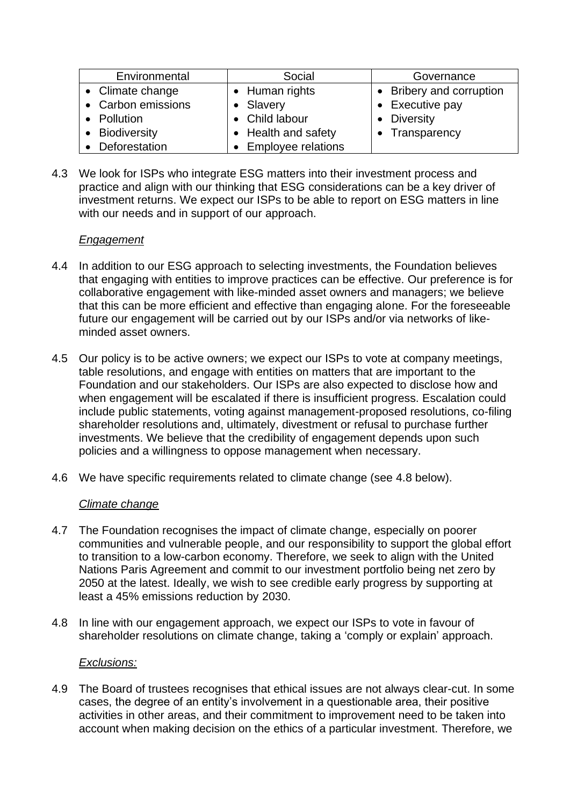| Environmental      | Social               | Governance               |
|--------------------|----------------------|--------------------------|
| • Climate change   | • Human rights       | • Bribery and corruption |
| • Carbon emissions | • Slavery            | • Executive pay          |
| • Pollution        | • Child labour       | <b>Diversity</b>         |
| • Biodiversity     | • Health and safety  | Transparency             |
| • Deforestation    | • Employee relations |                          |

4.3 We look for ISPs who integrate ESG matters into their investment process and practice and align with our thinking that ESG considerations can be a key driver of investment returns. We expect our ISPs to be able to report on ESG matters in line with our needs and in support of our approach.

## *Engagement*

- 4.4 In addition to our ESG approach to selecting investments, the Foundation believes that engaging with entities to improve practices can be effective. Our preference is for collaborative engagement with like-minded asset owners and managers; we believe that this can be more efficient and effective than engaging alone. For the foreseeable future our engagement will be carried out by our ISPs and/or via networks of likeminded asset owners.
- 4.5 Our policy is to be active owners; we expect our ISPs to vote at company meetings, table resolutions, and engage with entities on matters that are important to the Foundation and our stakeholders. Our ISPs are also expected to disclose how and when engagement will be escalated if there is insufficient progress. Escalation could include public statements, voting against management-proposed resolutions, co-filing shareholder resolutions and, ultimately, divestment or refusal to purchase further investments. We believe that the credibility of engagement depends upon such policies and a willingness to oppose management when necessary.
- 4.6 We have specific requirements related to climate change (see 4.8 below).

## *Climate change*

- 4.7 The Foundation recognises the impact of climate change, especially on poorer communities and vulnerable people, and our responsibility to support the global effort to transition to a low-carbon economy. Therefore, we seek to align with the United Nations Paris Agreement and commit to our investment portfolio being net zero by 2050 at the latest. Ideally, we wish to see credible early progress by supporting at least a 45% emissions reduction by 2030.
- 4.8 In line with our engagement approach, we expect our ISPs to vote in favour of shareholder resolutions on climate change, taking a 'comply or explain' approach.

#### *Exclusions:*

4.9 The Board of trustees recognises that ethical issues are not always clear-cut. In some cases, the degree of an entity's involvement in a questionable area, their positive activities in other areas, and their commitment to improvement need to be taken into account when making decision on the ethics of a particular investment. Therefore, we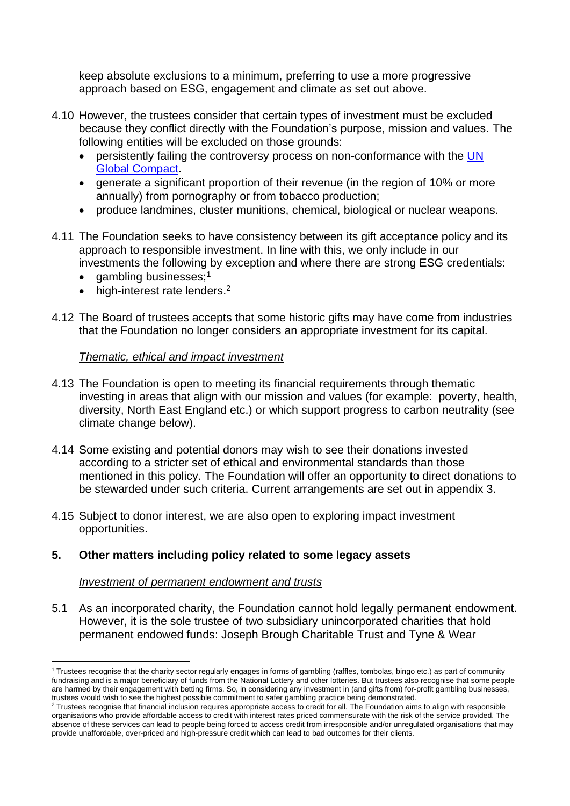keep absolute exclusions to a minimum, preferring to use a more progressive approach based on ESG, engagement and climate as set out above.

- 4.10 However, the trustees consider that certain types of investment must be excluded because they conflict directly with the Foundation's purpose, mission and values. The following entities will be excluded on those grounds:
	- persistently failing the controversy process on non-conformance with the [UN](https://www.unglobalcompact.org/)  [Global Compact.](https://www.unglobalcompact.org/)
	- generate a significant proportion of their revenue (in the region of 10% or more annually) from pornography or from tobacco production;
	- produce landmines, cluster munitions, chemical, biological or nuclear weapons.
- 4.11 The Foundation seeks to have consistency between its gift acceptance policy and its approach to responsible investment. In line with this, we only include in our investments the following by exception and where there are strong ESG credentials:
	- gambling businesses;<sup>1</sup>
	- $\bullet$  high-interest rate lenders.<sup>2</sup>
- 4.12 The Board of trustees accepts that some historic gifts may have come from industries that the Foundation no longer considers an appropriate investment for its capital.

#### *Thematic, ethical and impact investment*

- 4.13 The Foundation is open to meeting its financial requirements through thematic investing in areas that align with our mission and values (for example: poverty, health, diversity, North East England etc.) or which support progress to carbon neutrality (see climate change below).
- 4.14 Some existing and potential donors may wish to see their donations invested according to a stricter set of ethical and environmental standards than those mentioned in this policy. The Foundation will offer an opportunity to direct donations to be stewarded under such criteria. Current arrangements are set out in appendix 3.
- 4.15 Subject to donor interest, we are also open to exploring impact investment opportunities.

## **5. Other matters including policy related to some legacy assets**

#### *Investment of permanent endowment and trusts*

5.1 As an incorporated charity, the Foundation cannot hold legally permanent endowment. However, it is the sole trustee of two subsidiary unincorporated charities that hold permanent endowed funds: Joseph Brough Charitable Trust and Tyne & Wear

<sup>1</sup> Trustees recognise that the charity sector regularly engages in forms of gambling (raffles, tombolas, bingo etc.) as part of community fundraising and is a major beneficiary of funds from the National Lottery and other lotteries. But trustees also recognise that some people are harmed by their engagement with betting firms. So, in considering any investment in (and gifts from) for-profit gambling businesses, trustees would wish to see the highest possible commitment to safer gambling practice being demonstrated.

<sup>&</sup>lt;sup>2</sup> Trustees recognise that financial inclusion requires appropriate access to credit for all. The Foundation aims to align with responsible organisations who provide affordable access to credit with interest rates priced commensurate with the risk of the service provided. The absence of these services can lead to people being forced to access credit from irresponsible and/or unregulated organisations that may provide unaffordable, over-priced and high-pressure credit which can lead to bad outcomes for their clients.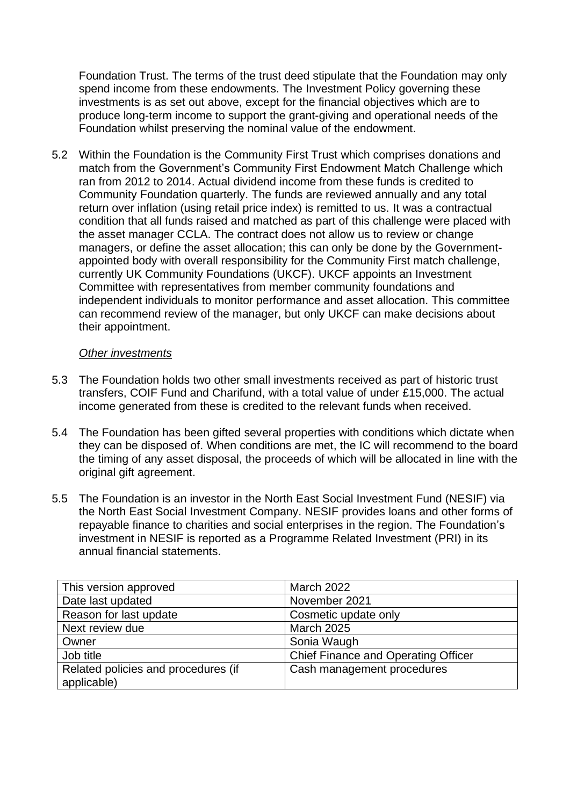Foundation Trust. The terms of the trust deed stipulate that the Foundation may only spend income from these endowments. The Investment Policy governing these investments is as set out above, except for the financial objectives which are to produce long-term income to support the grant-giving and operational needs of the Foundation whilst preserving the nominal value of the endowment.

5.2 Within the Foundation is the Community First Trust which comprises donations and match from the Government's Community First Endowment Match Challenge which ran from 2012 to 2014. Actual dividend income from these funds is credited to Community Foundation quarterly. The funds are reviewed annually and any total return over inflation (using retail price index) is remitted to us. It was a contractual condition that all funds raised and matched as part of this challenge were placed with the asset manager CCLA. The contract does not allow us to review or change managers, or define the asset allocation; this can only be done by the Governmentappointed body with overall responsibility for the Community First match challenge, currently UK Community Foundations (UKCF). UKCF appoints an Investment Committee with representatives from member community foundations and independent individuals to monitor performance and asset allocation. This committee can recommend review of the manager, but only UKCF can make decisions about their appointment.

#### *Other investments*

- 5.3 The Foundation holds two other small investments received as part of historic trust transfers, COIF Fund and Charifund, with a total value of under £15,000. The actual income generated from these is credited to the relevant funds when received.
- 5.4 The Foundation has been gifted several properties with conditions which dictate when they can be disposed of. When conditions are met, the IC will recommend to the board the timing of any asset disposal, the proceeds of which will be allocated in line with the original gift agreement.
- 5.5 The Foundation is an investor in the North East Social Investment Fund (NESIF) via the North East Social Investment Company. NESIF provides loans and other forms of repayable finance to charities and social enterprises in the region. The Foundation's investment in NESIF is reported as a Programme Related Investment (PRI) in its annual financial statements.

| This version approved               | <b>March 2022</b>                          |
|-------------------------------------|--------------------------------------------|
| Date last updated                   | November 2021                              |
| Reason for last update              | Cosmetic update only                       |
| Next review due                     | <b>March 2025</b>                          |
| Owner                               | Sonia Waugh                                |
| Job title                           | <b>Chief Finance and Operating Officer</b> |
| Related policies and procedures (if | Cash management procedures                 |
| applicable)                         |                                            |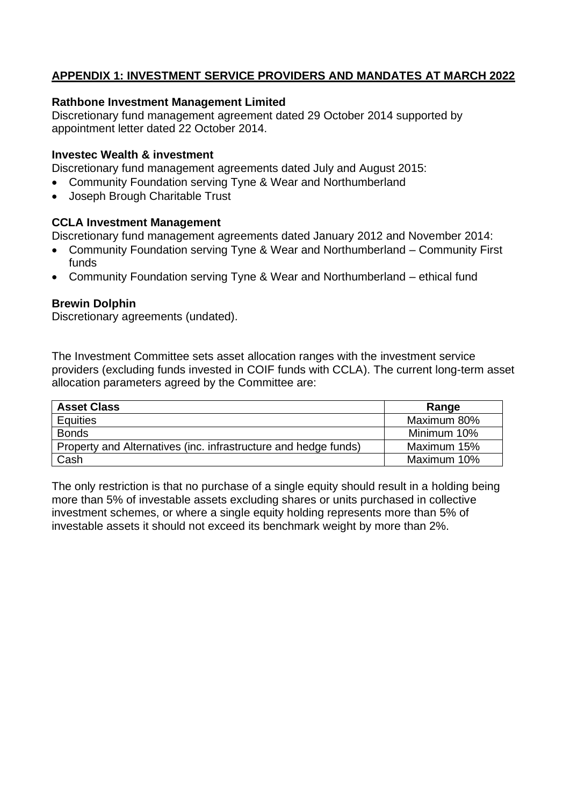## **APPENDIX 1: INVESTMENT SERVICE PROVIDERS AND MANDATES AT MARCH 2022**

#### **Rathbone Investment Management Limited**

Discretionary fund management agreement dated 29 October 2014 supported by appointment letter dated 22 October 2014.

#### **Investec Wealth & investment**

Discretionary fund management agreements dated July and August 2015:

- Community Foundation serving Tyne & Wear and Northumberland
- Joseph Brough Charitable Trust

#### **CCLA Investment Management**

Discretionary fund management agreements dated January 2012 and November 2014:

- Community Foundation serving Tyne & Wear and Northumberland Community First funds
- Community Foundation serving Tyne & Wear and Northumberland ethical fund

#### **Brewin Dolphin**

Discretionary agreements (undated).

The Investment Committee sets asset allocation ranges with the investment service providers (excluding funds invested in COIF funds with CCLA). The current long-term asset allocation parameters agreed by the Committee are:

| <b>Asset Class</b>                                              | Range       |
|-----------------------------------------------------------------|-------------|
| Equities                                                        | Maximum 80% |
| <b>Bonds</b>                                                    | Minimum 10% |
| Property and Alternatives (inc. infrastructure and hedge funds) | Maximum 15% |
| Cash                                                            | Maximum 10% |

The only restriction is that no purchase of a single equity should result in a holding being more than 5% of investable assets excluding shares or units purchased in collective investment schemes, or where a single equity holding represents more than 5% of investable assets it should not exceed its benchmark weight by more than 2%.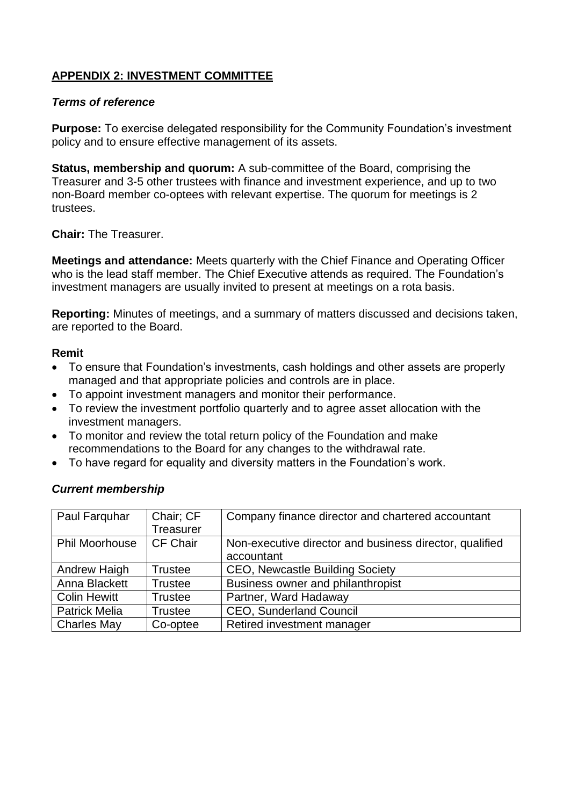## **APPENDIX 2: INVESTMENT COMMITTEE**

#### *Terms of reference*

**Purpose:** To exercise delegated responsibility for the Community Foundation's investment policy and to ensure effective management of its assets.

**Status, membership and quorum:** A sub-committee of the Board, comprising the Treasurer and 3-5 other trustees with finance and investment experience, and up to two non-Board member co-optees with relevant expertise. The quorum for meetings is 2 trustees.

**Chair:** The Treasurer.

**Meetings and attendance:** Meets quarterly with the Chief Finance and Operating Officer who is the lead staff member. The Chief Executive attends as required. The Foundation's investment managers are usually invited to present at meetings on a rota basis.

**Reporting:** Minutes of meetings, and a summary of matters discussed and decisions taken, are reported to the Board.

#### **Remit**

- To ensure that Foundation's investments, cash holdings and other assets are properly managed and that appropriate policies and controls are in place.
- To appoint investment managers and monitor their performance.
- To review the investment portfolio quarterly and to agree asset allocation with the investment managers.
- To monitor and review the total return policy of the Foundation and make recommendations to the Board for any changes to the withdrawal rate.
- To have regard for equality and diversity matters in the Foundation's work.

#### *Current membership*

| Paul Farquhar         | Chair; CF<br><b>Treasurer</b> | Company finance director and chartered accountant                     |
|-----------------------|-------------------------------|-----------------------------------------------------------------------|
| <b>Phil Moorhouse</b> | <b>CF Chair</b>               | Non-executive director and business director, qualified<br>accountant |
| Andrew Haigh          | Trustee                       | <b>CEO, Newcastle Building Society</b>                                |
| Anna Blackett         | <b>Trustee</b>                | Business owner and philanthropist                                     |
| <b>Colin Hewitt</b>   | <b>Trustee</b>                | Partner, Ward Hadaway                                                 |
| <b>Patrick Melia</b>  | <b>Trustee</b>                | CEO, Sunderland Council                                               |
| <b>Charles May</b>    | Co-optee                      | Retired investment manager                                            |